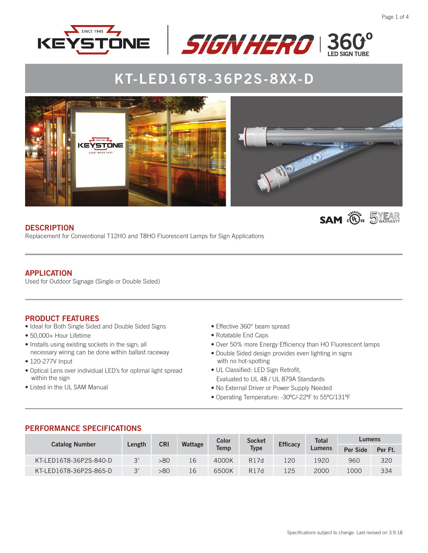





## **DESCRIPTION**

Replacement for Conventional T12HO and T8HO Fluorescent Lamps for Sign Applications

## **APPLICATION**

Used for Outdoor Signage (Single or Double Sided)

## **PRODUCT FEATURES**

- Ideal for Both Single Sided and Double Sided Signs
- 50,000+ Hour Lifetime
- Installs using existing sockets in the sign; all necessary wiring can be done within ballast raceway
- 120-277V Input
- Optical Lens over individual LED's for optimal light spread within the sign
- Listed in the UL SAM Manual
- Effective 360° beam spread
- Rotatable End Caps
- Over 50% more Energy Efficiency than HO Fluorescent lamps
- Double Sided design provides even lighting in signs with no hot-spotting
- UL Classified: LED Sign Retrofit, Evaluated to UL 48 / UL 879A Standards
- No External Driver or Power Supply Needed
- Operating Temperature: -30ºC/-22ºF to 55ºC/131ºF

### **PERFORMANCE SPECIFICATIONS**

| <b>Catalog Number</b>  | Length | CRI | Wattage | Color<br><b>Temp</b> | <b>Socket</b><br><b>Type</b> | <b>Efficacy</b> | <b>Total</b><br>Lumens | Lumens   |         |
|------------------------|--------|-----|---------|----------------------|------------------------------|-----------------|------------------------|----------|---------|
|                        |        |     |         |                      |                              |                 |                        | Per Side | Per Ft. |
| KT-LED16T8-36P2S-840-D |        | >80 | 16      | 4000K                | R17d                         | l 20            | 1920                   | 960      | 320     |
| KT-LED16T8-36P2S-865-D |        | >80 | 16      | 6500K                | R17d                         | 125             | 2000                   | 1000     | 334     |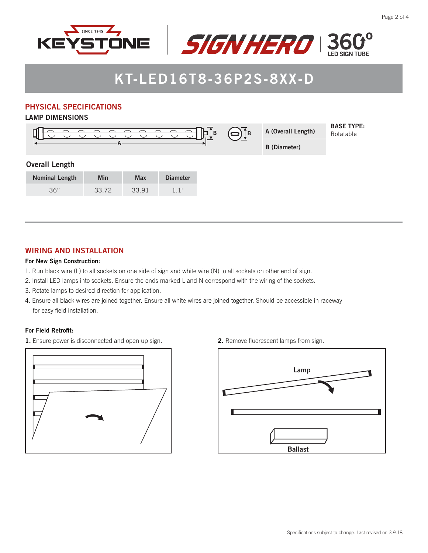



## **PHYSICAL SPECIFICATIONS**

#### **LAMP DIMENSIONS**



| <b>Nominal Length</b> | Min   | Max   | <b>Diameter</b> |
|-----------------------|-------|-------|-----------------|
| 36"                   | 33.72 | 33.91 | 1.1"            |

### **WIRING AND INSTALLATION**

#### **For New Sign Construction:**

- 1. Run black wire (L) to all sockets on one side of sign and white wire (N) to all sockets on other end of sign.
- 2. Install LED lamps into sockets. Ensure the ends marked L and N correspond with the wiring of the sockets.
- 3. Rotate lamps to desired direction for application.
- 4. Ensure all black wires are joined together. Ensure all white wires are joined together. Should be accessible in raceway for easy field installation.

#### **For Field Retrofit:**

**1.** Ensure power is disconnected and open up sign. **2.** Remove fluorescent lamps from sign.





**Ballast**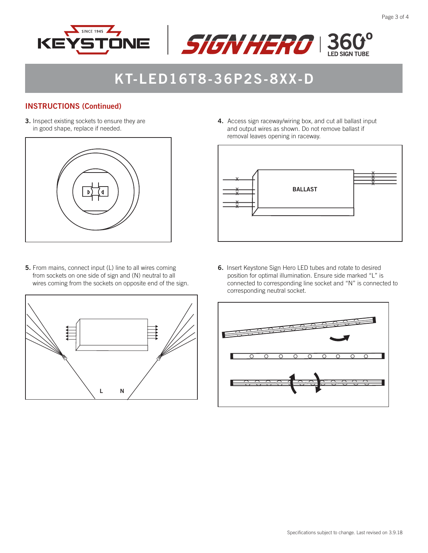



## **INSTRUCTIONS (Continued)**

**3.** Inspect existing sockets to ensure they are in good shape, replace if needed.



**5.** From mains, connect input (L) line to all wires coming from sockets on one side of sign and (N) neutral to all wires coming from the sockets on opposite end of the sign.



**4.** Access sign raceway/wiring box, and cut all ballast input and output wires as shown. Do not remove ballast if removal leaves opening in raceway.



**6.** Insert Keystone Sign Hero LED tubes and rotate to desired position for optimal illumination. Ensure side marked "L" is connected to corresponding line socket and "N" is connected to corresponding neutral socket.